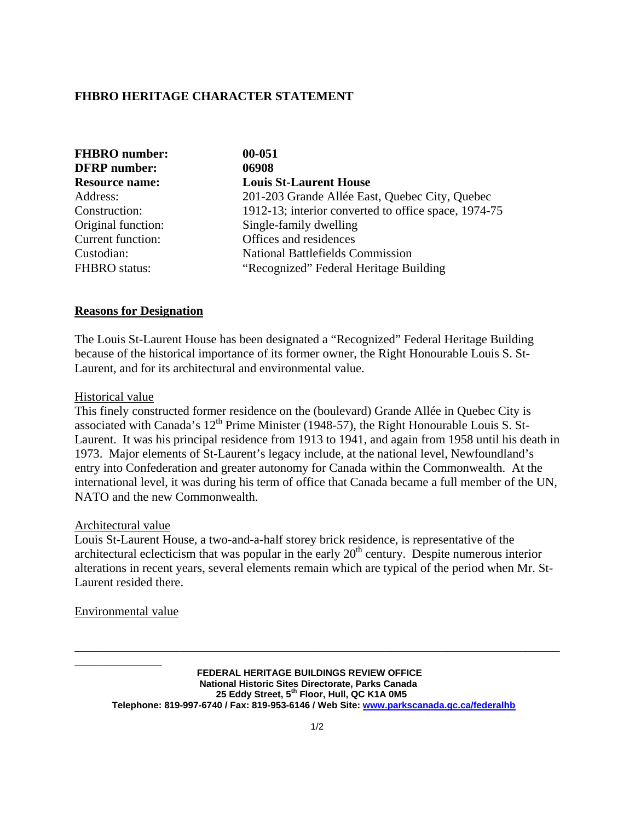## **FHBRO HERITAGE CHARACTER STATEMENT**

| <b>FHBRO</b> number:     | 00-051                                               |
|--------------------------|------------------------------------------------------|
| <b>DFRP</b> number:      | 06908                                                |
| <b>Resource name:</b>    | <b>Louis St-Laurent House</b>                        |
| Address:                 | 201-203 Grande Allée East, Quebec City, Quebec       |
| Construction:            | 1912-13; interior converted to office space, 1974-75 |
| Original function:       | Single-family dwelling                               |
| <b>Current function:</b> | Offices and residences                               |
| Custodian:               | <b>National Battlefields Commission</b>              |
| <b>FHBRO</b> status:     | "Recognized" Federal Heritage Building               |

### **Reasons for Designation**

The Louis St-Laurent House has been designated a "Recognized" Federal Heritage Building because of the historical importance of its former owner, the Right Honourable Louis S. St-Laurent, and for its architectural and environmental value.

#### Historical value

This finely constructed former residence on the (boulevard) Grande Allée in Quebec City is associated with Canada's  $12^{th}$  Prime Minister (1948-57), the Right Honourable Louis S. St-Laurent. It was his principal residence from 1913 to 1941, and again from 1958 until his death in 1973. Major elements of St-Laurent's legacy include, at the national level, Newfoundland's entry into Confederation and greater autonomy for Canada within the Commonwealth. At the international level, it was during his term of office that Canada became a full member of the UN, NATO and the new Commonwealth.

### Architectural value

Louis St-Laurent House, a two-and-a-half storey brick residence, is representative of the architectural eclecticism that was popular in the early  $20<sup>th</sup>$  century. Despite numerous interior alterations in recent years, several elements remain which are typical of the period when Mr. St-Laurent resided there.

Environmental value

\_\_\_\_\_\_\_\_\_\_\_\_\_\_

**FEDERAL HERITAGE BUILDINGS REVIEW OFFICE National Historic Sites Directorate, Parks Canada 25 Eddy Street, 5th Floor, Hull, QC K1A 0M5 Telephone: 819-997-6740 / Fax: 819-953-6146 / Web Site: www.parkscanada.gc.ca/federalhb**

\_\_\_\_\_\_\_\_\_\_\_\_\_\_\_\_\_\_\_\_\_\_\_\_\_\_\_\_\_\_\_\_\_\_\_\_\_\_\_\_\_\_\_\_\_\_\_\_\_\_\_\_\_\_\_\_\_\_\_\_\_\_\_\_\_\_\_\_\_\_\_\_\_\_\_\_\_\_